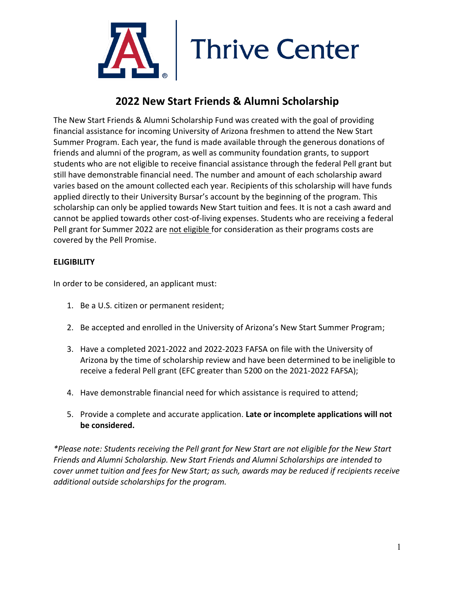

## **2022 New Start Friends & Alumni Scholarship**

The New Start Friends & Alumni Scholarship Fund was created with the goal of providing financial assistance for incoming University of Arizona freshmen to attend the New Start Summer Program. Each year, the fund is made available through the generous donations of friends and alumni of the program, as well as community foundation grants, to support students who are not eligible to receive financial assistance through the federal Pell grant but still have demonstrable financial need. The number and amount of each scholarship award varies based on the amount collected each year. Recipients of this scholarship will have funds applied directly to their University Bursar's account by the beginning of the program. This scholarship can only be applied towards New Start tuition and fees. It is not a cash award and cannot be applied towards other cost-of-living expenses. Students who are receiving a federal Pell grant for Summer 2022 are not eligible for consideration as their programs costs are covered by the Pell Promise.

## **ELIGIBILITY**

In order to be considered, an applicant must:

- 1. Be a U.S. citizen or permanent resident;
- 2. Be accepted and enrolled in the University of Arizona's New Start Summer Program;
- 3. Have a completed 2021-2022 and 2022-2023 FAFSA on file with the University of Arizona by the time of scholarship review and have been determined to be ineligible to receive a federal Pell grant (EFC greater than 5200 on the 2021-2022 FAFSA);
- 4. Have demonstrable financial need for which assistance is required to attend;
- 5. Provide a complete and accurate application. **Late or incomplete applications will not be considered.**

*\*Please note: Students receiving the Pell grant for New Start are not eligible for the New Start Friends and Alumni Scholarship. New Start Friends and Alumni Scholarships are intended to cover unmet tuition and fees for New Start; as such, awards may be reduced if recipients receive additional outside scholarships for the program.*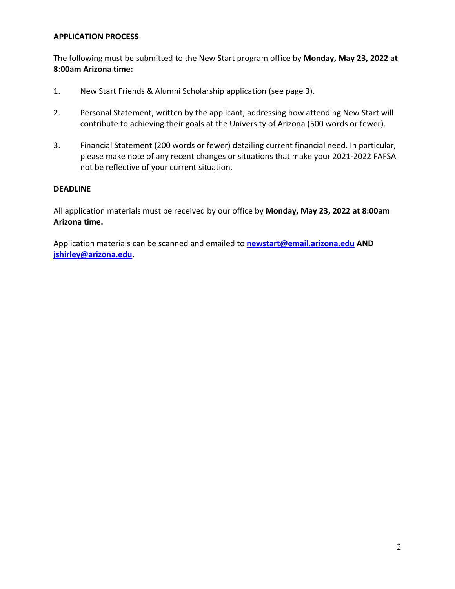#### **APPLICATION PROCESS**

The following must be submitted to the New Start program office by **Monday, May 23, 2022 at 8:00am Arizona time:**

- 1. New Start Friends & Alumni Scholarship application (see page 3).
- 2. Personal Statement, written by the applicant, addressing how attending New Start will contribute to achieving their goals at the University of Arizona (500 words or fewer).
- 3. Financial Statement (200 words or fewer) detailing current financial need. In particular, please make note of any recent changes or situations that make your 2021-2022 FAFSA not be reflective of your current situation.

#### **DEADLINE**

All application materials must be received by our office by **Monday, May 23, 2022 at 8:00am Arizona time.** 

Application materials can be scanned and emailed to **[newstart@email.arizona.edu](mailto:newstart@email.arizona.edu) AND [jshirley@arizona.edu.](mailto:jshirley@arizona.edu)**